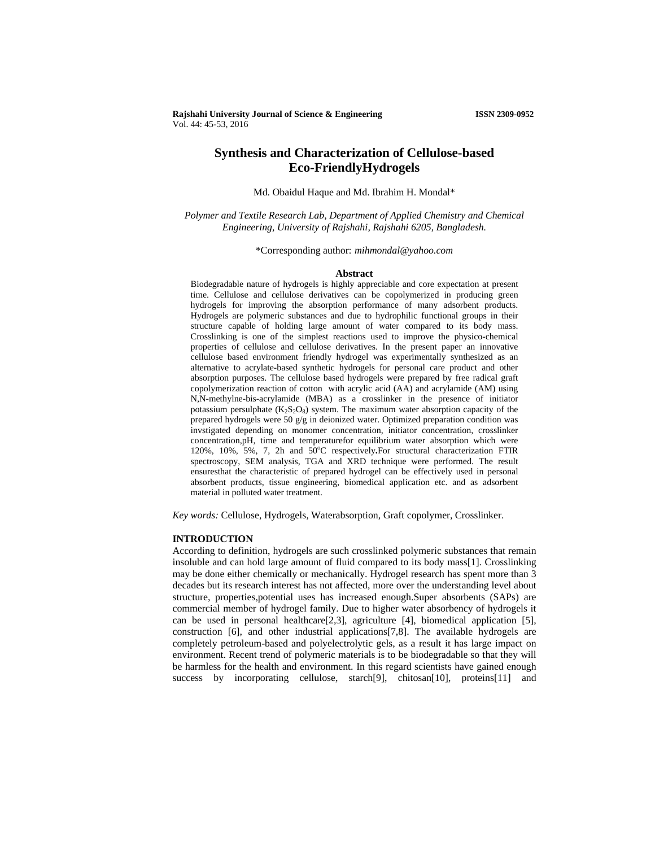**Rajshahi University Journal of Science & Engineering ISSN 2309-0952** Vol. 44: 45-53, 2016

# **Synthesis and Characterization of Cellulose-based Eco-FriendlyHydrogels**

Md. Obaidul Haque and Md. Ibrahim H. Mondal\*

*Polymer and Textile Research Lab, Department of Applied Chemistry and Chemical Engineering, University of Rajshahi, Rajshahi 6205, Bangladesh.* 

\*Corresponding author: *mihmondal@yahoo.com* 

#### **Abstract**

Biodegradable nature of hydrogels is highly appreciable and core expectation at present time. Cellulose and cellulose derivatives can be copolymerized in producing green hydrogels for improving the absorption performance of many adsorbent products. Hydrogels are polymeric substances and due to hydrophilic functional groups in their structure capable of holding large amount of water compared to its body mass. Crosslinking is one of the simplest reactions used to improve the physico-chemical properties of cellulose and cellulose derivatives. In the present paper an innovative cellulose based environment friendly hydrogel was experimentally synthesized as an alternative to acrylate-based synthetic hydrogels for personal care product and other absorption purposes. The cellulose based hydrogels were prepared by free radical graft copolymerization reaction of cotton with acrylic acid (AA) and acrylamide (AM) using N,N-methylne-bis-acrylamide (MBA) as a crosslinker in the presence of initiator potassium persulphate  $(K_2S_2O_8)$  system. The maximum water absorption capacity of the prepared hydrogels were 50 g/g in deionized water. Optimized preparation condition was invstigated depending on monomer concentration, initiator concentration, crosslinker concentration,pH, time and temperaturefor equilibrium water absorption which were 120%, 10%, 5%, 7, 2h and 50°C respectively. For structural characterization FTIR spectroscopy, SEM analysis, TGA and XRD technique were performed. The result ensuresthat the characteristic of prepared hydrogel can be effectively used in personal absorbent products, tissue engineering, biomedical application etc. and as adsorbent material in polluted water treatment.

*Key words:* Cellulose, Hydrogels, Waterabsorption, Graft copolymer, Crosslinker.

#### **INTRODUCTION**

According to definition, hydrogels are such crosslinked polymeric substances that remain insoluble and can hold large amount of fluid compared to its body mass[1]. Crosslinking may be done either chemically or mechanically. Hydrogel research has spent more than 3 decades but its research interest has not affected, more over the understanding level about structure, properties,potential uses has increased enough.Super absorbents (SAPs) are commercial member of hydrogel family. Due to higher water absorbency of hydrogels it can be used in personal healthcare[2,3], agriculture [4], biomedical application [5], construction [6], and other industrial applications[7,8]. The available hydrogels are completely petroleum-based and polyelectrolytic gels, as a result it has large impact on environment. Recent trend of polymeric materials is to be biodegradable so that they will be harmless for the health and environment. In this regard scientists have gained enough success by incorporating cellulose, starch[9], chitosan[10], proteins[11] and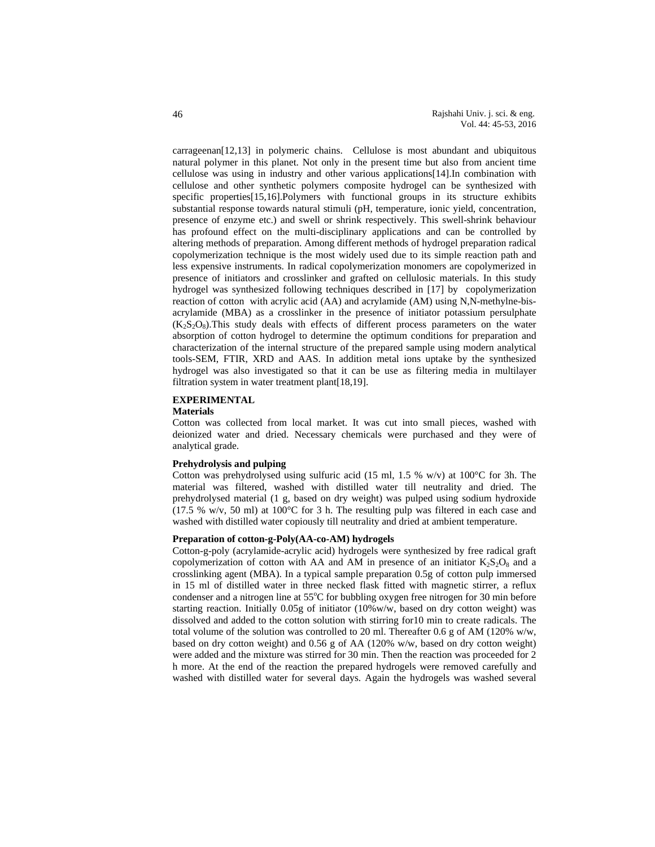carrageenan[12,13] in polymeric chains. Cellulose is most abundant and ubiquitous natural polymer in this planet. Not only in the present time but also from ancient time cellulose was using in industry and other various applications[14].In combination with cellulose and other synthetic polymers composite hydrogel can be synthesized with specific properties[15,16].Polymers with functional groups in its structure exhibits substantial response towards natural stimuli (pH, temperature, ionic yield, concentration, presence of enzyme etc.) and swell or shrink respectively. This swell-shrink behaviour has profound effect on the multi-disciplinary applications and can be controlled by altering methods of preparation. Among different methods of hydrogel preparation radical copolymerization technique is the most widely used due to its simple reaction path and less expensive instruments. In radical copolymerization monomers are copolymerized in presence of initiators and crosslinker and grafted on cellulosic materials. In this study hydrogel was synthesized following techniques described in [17] by copolymerization reaction of cotton with acrylic acid (AA) and acrylamide (AM) using N,N-methylne-bisacrylamide (MBA) as a crosslinker in the presence of initiator potassium persulphate  $(K<sub>2</sub>S<sub>2</sub>O<sub>8</sub>)$ . This study deals with effects of different process parameters on the water absorption of cotton hydrogel to determine the optimum conditions for preparation and characterization of the internal structure of the prepared sample using modern analytical tools-SEM, FTIR, XRD and AAS. In addition metal ions uptake by the synthesized hydrogel was also investigated so that it can be use as filtering media in multilayer filtration system in water treatment plant[18,19].

## **EXPERIMENTAL**

#### **Materials**

Cotton was collected from local market. It was cut into small pieces, washed with deionized water and dried. Necessary chemicals were purchased and they were of analytical grade.

### **Prehydrolysis and pulping**

Cotton was prehydrolysed using sulfuric acid (15 ml, 1.5 % w/v) at 100°C for 3h. The material was filtered, washed with distilled water till neutrality and dried. The prehydrolysed material (1 g, based on dry weight) was pulped using sodium hydroxide (17.5 % w/v, 50 ml) at 100°C for 3 h. The resulting pulp was filtered in each case and washed with distilled water copiously till neutrality and dried at ambient temperature.

#### **Preparation of cotton-g-Poly(AA-co-AM) hydrogels**

Cotton-g-poly (acrylamide-acrylic acid) hydrogels were synthesized by free radical graft copolymerization of cotton with AA and AM in presence of an initiator  $K_2S_2O_8$  and a crosslinking agent (MBA). In a typical sample preparation 0.5g of cotton pulp immersed in 15 ml of distilled water in three necked flask fitted with magnetic stirrer, a reflux condenser and a nitrogen line at  $55^{\circ}$ C for bubbling oxygen free nitrogen for 30 min before starting reaction. Initially  $0.05g$  of initiator (10%w/w, based on dry cotton weight) was dissolved and added to the cotton solution with stirring for10 min to create radicals. The total volume of the solution was controlled to 20 ml. Thereafter 0.6 g of AM (120% w/w, based on dry cotton weight) and 0.56 g of AA (120% w/w, based on dry cotton weight) were added and the mixture was stirred for 30 min. Then the reaction was proceeded for 2 h more. At the end of the reaction the prepared hydrogels were removed carefully and washed with distilled water for several days. Again the hydrogels was washed several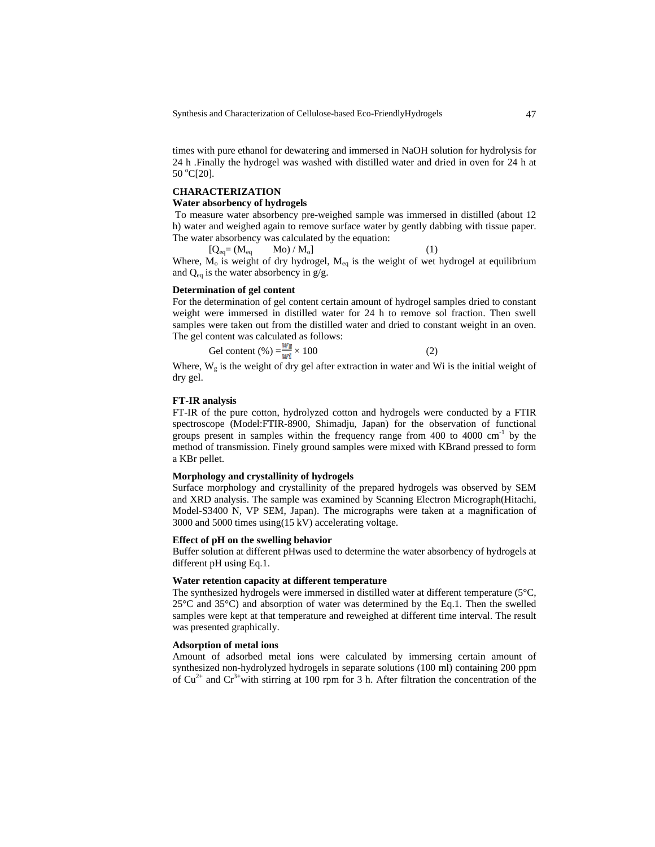Synthesis and Characterization of Cellulose-based Eco-FriendlyHydrogels 47

times with pure ethanol for dewatering and immersed in NaOH solution for hydrolysis for 24 h .Finally the hydrogel was washed with distilled water and dried in oven for 24 h at  $50 °C[20]$ .

# **CHARACTERIZATION**

### **Water absorbency of hydrogels**

 To measure water absorbency pre-weighed sample was immersed in distilled (about 12 h) water and weighed again to remove surface water by gently dabbing with tissue paper. The water absorbency was calculated by the equation:

 $[Q_{eq} = (M_{eq} \qquad Mo) / M_0]$  (1) Where,  $M_0$  is weight of dry hydrogel,  $M_{eq}$  is the weight of wet hydrogel at equilibrium and  $Q_{eq}$  is the water absorbency in g/g.

#### **Determination of gel content**

For the determination of gel content certain amount of hydrogel samples dried to constant weight were immersed in distilled water for 24 h to remove sol fraction. Then swell samples were taken out from the distilled water and dried to constant weight in an oven. The gel content was calculated as follows:

Gel content (%)  $=\frac{w_E}{w_i} \times 100$  (2)

Where,  $W_g$  is the weight of dry gel after extraction in water and Wi is the initial weight of dry gel.

### **FT-IR analysis**

FT-IR of the pure cotton, hydrolyzed cotton and hydrogels were conducted by a FTIR spectroscope (Model:FTIR-8900, Shimadju, Japan) for the observation of functional groups present in samples within the frequency range from 400 to 4000  $\text{cm}^{-1}$  by the method of transmission. Finely ground samples were mixed with KBrand pressed to form a KBr pellet.

### **Morphology and crystallinity of hydrogels**

Surface morphology and crystallinity of the prepared hydrogels was observed by SEM and XRD analysis. The sample was examined by Scanning Electron Micrograph(Hitachi, Model-S3400 N, VP SEM, Japan). The micrographs were taken at a magnification of 3000 and 5000 times using(15 kV) accelerating voltage.

#### **Effect of pH on the swelling behavior**

Buffer solution at different pHwas used to determine the water absorbency of hydrogels at different pH using Eq.1.

#### **Water retention capacity at different temperature**

The synthesized hydrogels were immersed in distilled water at different temperature (5°C, 25°C and 35°C) and absorption of water was determined by the Eq.1. Then the swelled samples were kept at that temperature and reweighed at different time interval. The result was presented graphically.

#### **Adsorption of metal ions**

Amount of adsorbed metal ions were calculated by immersing certain amount of synthesized non-hydrolyzed hydrogels in separate solutions (100 ml) containing 200 ppm of  $Cu^{2+}$  and  $Cr^{3+}$ with stirring at 100 rpm for 3 h. After filtration the concentration of the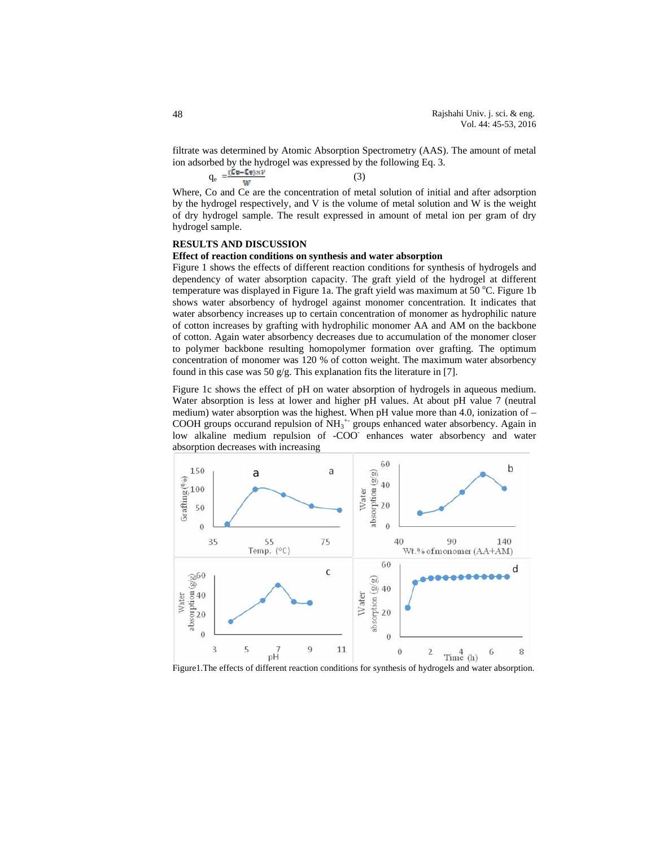filtrate was determined by Atomic Absorption Spectrometry (AAS). The amount of metal ion adsorbed by the hydrogel was expressed by the following Eq. 3.

$$
q_e = \frac{(C\varphi - C\varphi) \times V}{W} \tag{3}
$$

Where, Co and Ce are the concentration of metal solution of initial and after adsorption by the hydrogel respectively, and V is the volume of metal solution and W is the weight of dry hydrogel sample. The result expressed in amount of metal ion per gram of dry hydrogel sample.

## **RESULTS AND DISCUSSION**

#### **Effect of reaction conditions on synthesis and water absorption**

Figure 1 shows the effects of different reaction conditions for synthesis of hydrogels and dependency of water absorption capacity. The graft yield of the hydrogel at different temperature was displayed in Figure 1a. The graft yield was maximum at 50 °C. Figure 1b shows water absorbency of hydrogel against monomer concentration. It indicates that water absorbency increases up to certain concentration of monomer as hydrophilic nature of cotton increases by grafting with hydrophilic monomer AA and AM on the backbone of cotton. Again water absorbency decreases due to accumulation of the monomer closer to polymer backbone resulting homopolymer formation over grafting. The optimum concentration of monomer was 120 % of cotton weight. The maximum water absorbency found in this case was 50 g/g. This explanation fits the literature in [7].

Figure 1c shows the effect of pH on water absorption of hydrogels in aqueous medium. Water absorption is less at lower and higher pH values. At about pH value 7 (neutral medium) water absorption was the highest. When pH value more than 4.0, ionization of – COOH groups occurand repulsion of  $NH_3^+$  groups enhanced water absorbency. Again in low alkaline medium repulsion of -COO enhances water absorbency and water absorption decreases with increasing



Figure1.The effects of different reaction conditions for synthesis of hydrogels and water absorption.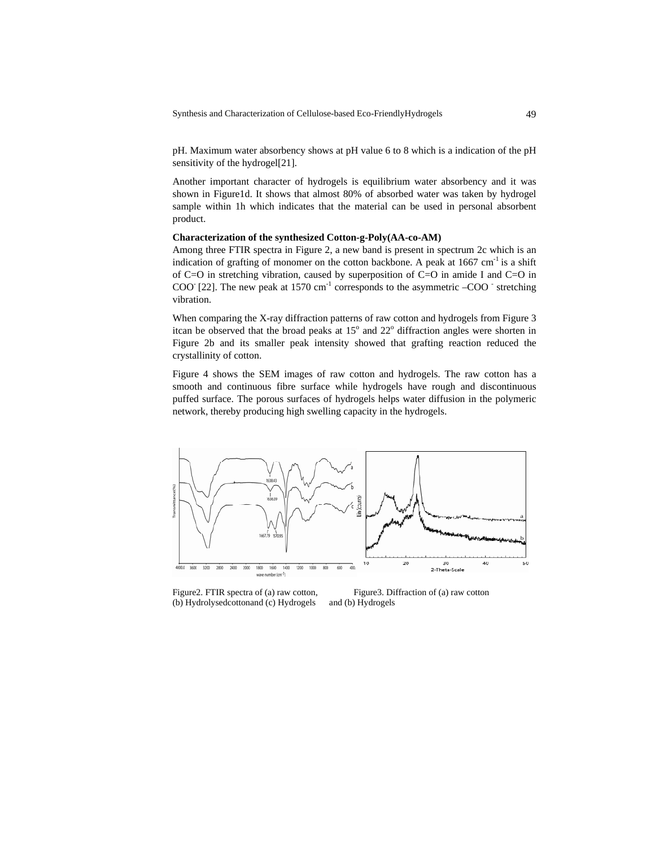Synthesis and Characterization of Cellulose-based Eco-FriendlyHydrogels 49

pH. Maximum water absorbency shows at pH value 6 to 8 which is a indication of the pH sensitivity of the hydrogel[21].

Another important character of hydrogels is equilibrium water absorbency and it was shown in Figure1d. It shows that almost 80% of absorbed water was taken by hydrogel sample within 1h which indicates that the material can be used in personal absorbent product.

## **Characterization of the synthesized Cotton-g-Poly(AA-co-AM)**

Among three FTIR spectra in Figure 2, a new band is present in spectrum 2c which is an indication of grafting of monomer on the cotton backbone. A peak at  $1667 \text{ cm}^{-1}$  is a shift of C=O in stretching vibration, caused by superposition of C=O in amide I and C=O in COO [22]. The new peak at 1570  $\text{cm}^{-1}$  corresponds to the asymmetric  $-\text{COO}^{-}$  stretching vibration.

When comparing the X-ray diffraction patterns of raw cotton and hydrogels from Figure 3 itcan be observed that the broad peaks at  $15^{\circ}$  and  $22^{\circ}$  diffraction angles were shorten in Figure 2b and its smaller peak intensity showed that grafting reaction reduced the crystallinity of cotton.

Figure 4 shows the SEM images of raw cotton and hydrogels. The raw cotton has a smooth and continuous fibre surface while hydrogels have rough and discontinuous puffed surface. The porous surfaces of hydrogels helps water diffusion in the polymeric network, thereby producing high swelling capacity in the hydrogels.



(b) Hydrolysedcottonand (c) Hydrogels and (b) Hydrogels

Figure2. FTIR spectra of (a) raw cotton, Figure3. Diffraction of (a) raw cotton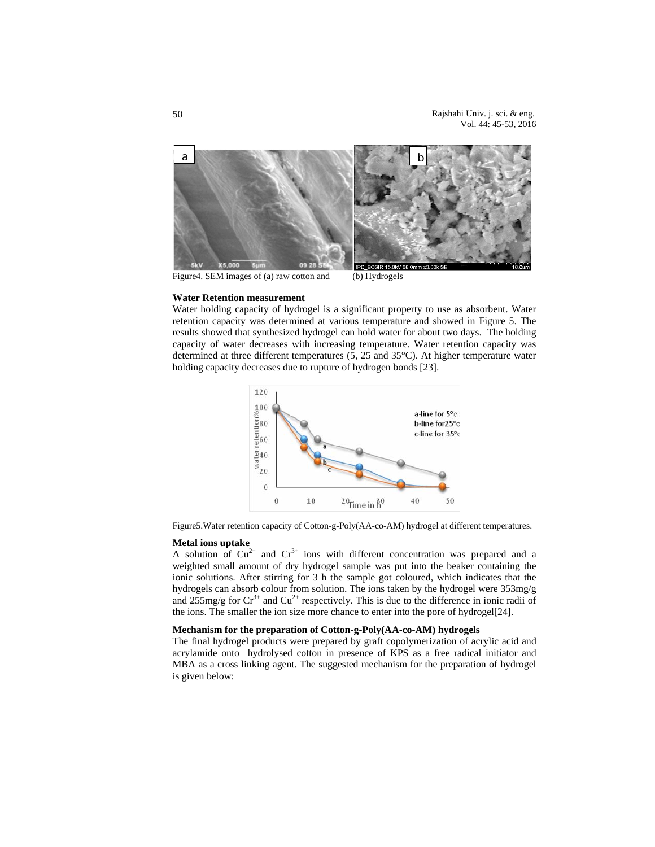Rajshahi Univ. j. sci. & eng. Vol. 44: 45-53, 2016



Figure4. SEM images of (a) raw cotton and (b) Hydrogels

## **Water Retention measurement**

Water holding capacity of hydrogel is a significant property to use as absorbent. Water retention capacity was determined at various temperature and showed in Figure 5. The results showed that synthesized hydrogel can hold water for about two days. The holding capacity of water decreases with increasing temperature. Water retention capacity was determined at three different temperatures (5, 25 and 35°C). At higher temperature water holding capacity decreases due to rupture of hydrogen bonds [23].



Figure5.Water retention capacity of Cotton-g-Poly(AA-co-AM) hydrogel at different temperatures.

#### **Metal ions uptake**

A solution of  $Cu^{2+}$  and  $Cr^{3+}$  ions with different concentration was prepared and a weighted small amount of dry hydrogel sample was put into the beaker containing the ionic solutions. After stirring for 3 h the sample got coloured, which indicates that the hydrogels can absorb colour from solution. The ions taken by the hydrogel were 353mg/g and  $255$ mg/g for  $Cr^{3+}$  and  $Cu^{2+}$  respectively. This is due to the difference in ionic radii of the ions. The smaller the ion size more chance to enter into the pore of hydrogel[24].

## **Mechanism for the preparation of Cotton-g-Poly(AA-co-AM) hydrogels**

The final hydrogel products were prepared by graft copolymerization of acrylic acid and acrylamide onto hydrolysed cotton in presence of KPS as a free radical initiator and MBA as a cross linking agent. The suggested mechanism for the preparation of hydrogel is given below: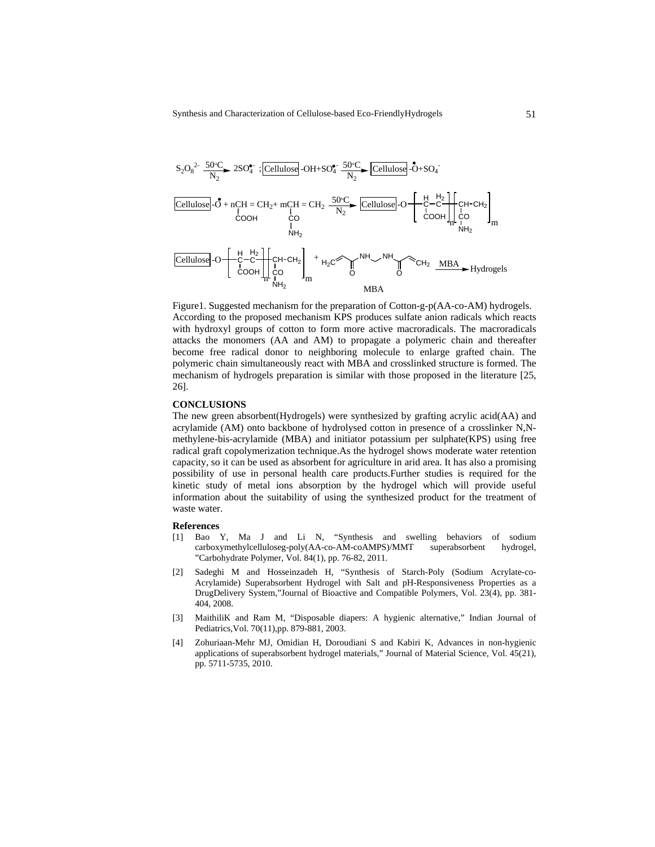$$
S_{2}O_{8}^{2-} \xrightarrow{50^{o}C} 2SO_{4}^{*} : \boxed{Cellulose}
$$
-OH+SO<sub>4</sub><sup>•</sup> 
$$
\frac{50^{o}C}{N_{2}} \xrightarrow{Cellulose}
$$
-OH+SO<sub>4</sub><sup>•</sup> 
$$
\frac{50^{o}C}{N_{2}} \xrightarrow{Cellulose}
$$
-O<sub>+</sub>-SO<sub>4</sub><sup>•</sup> 
$$
\frac{1}{N_{2}}
$$
-O<sub>+</sub>-O<sub>+</sub>-O<sub>+</sub>-O<sub>+</sub>-O<sub>+</sub>-O<sub>+</sub>-O<sub>+</sub>-O<sub>+</sub>-O<sub>+</sub>-O<sub>+</sub>-O<sub>+</sub>-O<sub>+</sub>-O<sub>+</sub>-O<sub>+</sub>-O<sub>+</sub>-O<sub>+</sub>-O<sub>+</sub>-O<sub>+</sub>-O<sub>+</sub>-O<sub>+</sub>-O<sub>+</sub>-O<sub>+</sub>-O<sub>+</sub>-O<sub>+</sub>-O<sub>+</sub>-O<sub>+</sub>-O<sub>+</sub>-O<sub>+</sub>-O<sub>+</sub>-O<sub>+</sub>-O<sub>+</sub>-O<sub>+</sub>-O<sub>+</sub>-O<sub>+</sub>-O<sub>+</sub>-O<sub>+</sub>-O<sub>+</sub>-O<sub>+</sub>-O<sub>+</sub>-O<sub>+</sub>-O<sub>+</sub>-O<sub>+</sub>-O<sub>+</sub>-O<sub>+</sub>-O<sub>+</sub>-O<sub>+</sub>-O<sub>+</sub>-O<sub>+</sub>-O<sub>+</sub>-O<sub>+</sub>-O<sub>+</sub>-O<sub>+</sub>-O<sub>+</sub>-O<sub>+</sub>-O<sub>+</sub>-O<sub>+</sub>-O<sub>+</sub>-O<sub>+</sub>-O<sub>+</sub>-O<sub>+</sub>-O<sub>+</sub>-O<sub>+</sub>-O<sub>+</sub>-O<sub>+</sub>-O<sub>+</sub>-O<sub>+</sub>-O<sub>+</sub>-O<sub>+</sub>-O<sub>+</sub>-O<sub>+</sub>-O<sub>+</sub>-O<sub>+</sub>-O<sub>+</sub>-O<sub>+</sub>-O<sub>+</sub>-O<sub>+</sub>-O<sub>+</sub>-O<sub>+</sub>-O<sub>+</sub>-O<sub>+</sub>-O<sub>+</sub>-O<sub>+</sub>-O<sub>+</sub>-O<sub>+</sub>-O<

Figure1. Suggested mechanism for the preparation of Cotton-g-p(AA-co-AM) hydrogels. According to the proposed mechanism KPS produces sulfate anion radicals which reacts with hydroxyl groups of cotton to form more active macroradicals. The macroradicals attacks the monomers (AA and AM) to propagate a polymeric chain and thereafter become free radical donor to neighboring molecule to enlarge grafted chain. The polymeric chain simultaneously react with MBA and crosslinked structure is formed. The mechanism of hydrogels preparation is similar with those proposed in the literature [25, 26].

#### **CONCLUSIONS**

The new green absorbent(Hydrogels) were synthesized by grafting acrylic acid(AA) and acrylamide (AM) onto backbone of hydrolysed cotton in presence of a crosslinker N,Nmethylene-bis-acrylamide (MBA) and initiator potassium per sulphate(KPS) using free radical graft copolymerization technique.As the hydrogel shows moderate water retention capacity, so it can be used as absorbent for agriculture in arid area. It has also a promising possibility of use in personal health care products.Further studies is required for the kinetic study of metal ions absorption by the hydrogel which will provide useful information about the suitability of using the synthesized product for the treatment of waste water.

#### **References**

- [1] Bao Y, Ma J and Li N, "Synthesis and swelling behaviors of sodium carboxymethylcelluloseg-poly(AA-co-AM-coAMPS)/MMT superabsorbent hydrogel, "Carbohydrate Polymer, Vol. 84(1), pp. 76-82, 2011.
- [2] Sadeghi M and Hosseinzadeh H, "Synthesis of Starch-Poly (Sodium Acrylate-co-Acrylamide) Superabsorbent Hydrogel with Salt and pH-Responsiveness Properties as a DrugDelivery System,"Journal of Bioactive and Compatible Polymers, Vol. 23(4), pp. 381- 404, 2008.
- [3] MaithiliK and Ram M, "Disposable diapers: A hygienic alternative," Indian Journal of Pediatrics,Vol. 70(11),pp. 879-881, 2003.
- [4] Zohuriaan-Mehr MJ, Omidian H, Doroudiani S and Kabiri K, Advances in non-hygienic applications of superabsorbent hydrogel materials," Journal of Material Science, Vol. 45(21), pp. 5711-5735, 2010.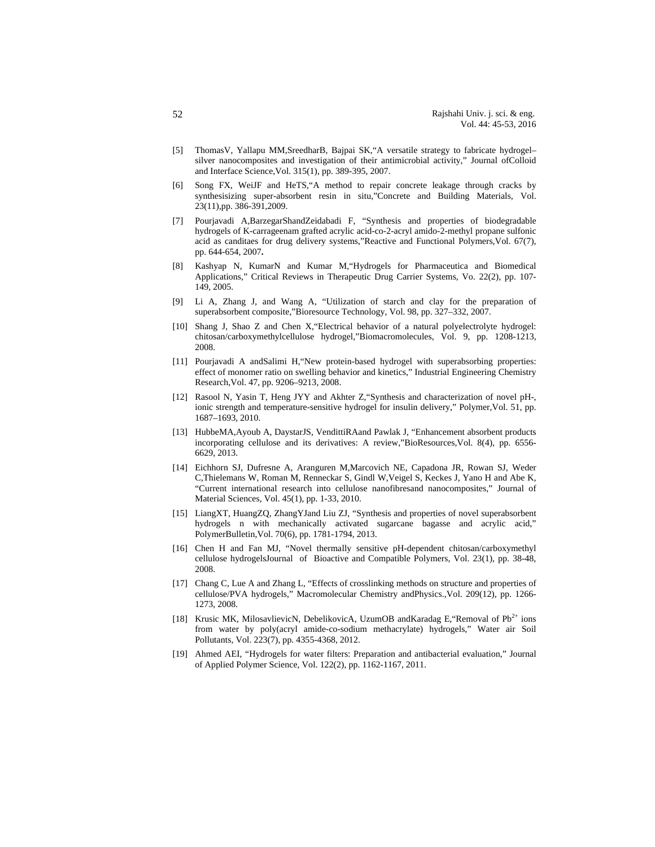- [5] ThomasV, Yallapu MM,SreedharB, Bajpai SK,"A versatile strategy to fabricate hydrogel– silver nanocomposites and investigation of their antimicrobial activity," Journal ofColloid and Interface Science,Vol. 315(1), pp. 389-395, 2007.
- Song FX, WeiJF and HeTS,"A method to repair concrete leakage through cracks by synthesisizing super-absorbent resin in situ,"Concrete and Building Materials, Vol. 23(11),pp. 386-391,2009.
- [7] Pourjavadi A,BarzegarShandZeidabadi F, "Synthesis and properties of biodegradable hydrogels of K-carrageenam grafted acrylic acid-co-2-acryl amido-2-methyl propane sulfonic acid as canditaes for drug delivery systems,"Reactive and Functional Polymers,Vol. 67(7), pp. 644-654, 2007**.**
- [8] Kashyap N, KumarN and Kumar M,"Hydrogels for Pharmaceutica and Biomedical Applications," Critical Reviews in Therapeutic Drug Carrier Systems, Vo. 22(2), pp. 107- 149, 2005.
- [9] Li A, Zhang J, and Wang A, "Utilization of starch and clay for the preparation of superabsorbent composite,"Bioresource Technology, Vol. 98, pp. 327–332, 2007.
- [10] Shang J, Shao Z and Chen X,"Electrical behavior of a natural polyelectrolyte hydrogel: chitosan/carboxymethylcellulose hydrogel,"Biomacromolecules, Vol. 9, pp. 1208-1213, 2008.
- [11] Pourjavadi A andSalimi H,"New protein-based hydrogel with superabsorbing properties: effect of monomer ratio on swelling behavior and kinetics," Industrial Engineering Chemistry Research,Vol. 47, pp. 9206–9213, 2008.
- [12] Rasool N, Yasin T, Heng JYY and Akhter Z,"Synthesis and characterization of novel pH-, ionic strength and temperature-sensitive hydrogel for insulin delivery," Polymer,Vol. 51, pp. 1687–1693, 2010.
- [13] HubbeMA,Ayoub A, DaystarJS, VendittiRAand Pawlak J, "Enhancement absorbent products incorporating cellulose and its derivatives: A review,"BioResources,Vol. 8(4), pp. 6556- 6629, 2013.
- [14] Eichhorn SJ, Dufresne A, Aranguren M,Marcovich NE, Capadona JR, Rowan SJ, Weder C,Thielemans W, Roman M, Renneckar S, Gindl W,Veigel S, Keckes J, Yano H and Abe K, "Current international research into cellulose nanofibresand nanocomposites," Journal of Material Sciences, Vol. 45(1), pp. 1-33, 2010.
- [15] LiangXT, HuangZQ, ZhangYJand Liu ZJ, "Synthesis and properties of novel superabsorbent hydrogels n with mechanically activated sugarcane bagasse and acrylic acid," PolymerBulletin,Vol. 70(6), pp. 1781-1794, 2013.
- [16] Chen H and Fan MJ, "Novel thermally sensitive pH-dependent chitosan/carboxymethyl cellulose hydrogelsJournal of Bioactive and Compatible Polymers, Vol. 23(1), pp. 38-48, 2008.
- [17] Chang C, Lue A and Zhang L, "Effects of crosslinking methods on structure and properties of cellulose/PVA hydrogels," Macromolecular Chemistry andPhysics.,Vol. 209(12), pp. 1266- 1273, 2008.
- [18] Krusic MK, MilosavlievicN, DebelikovicA, UzumOB andKaradag E, "Removal of  $Pb^{2+}$  ions from water by poly(acryl amide-co-sodium methacrylate) hydrogels," Water air Soil Pollutants, Vol. 223(7), pp. 4355-4368, 2012.
- [19] Ahmed AEI, "Hydrogels for water filters: Preparation and antibacterial evaluation," Journal of Applied Polymer Science, Vol. 122(2), pp. 1162-1167, 2011.